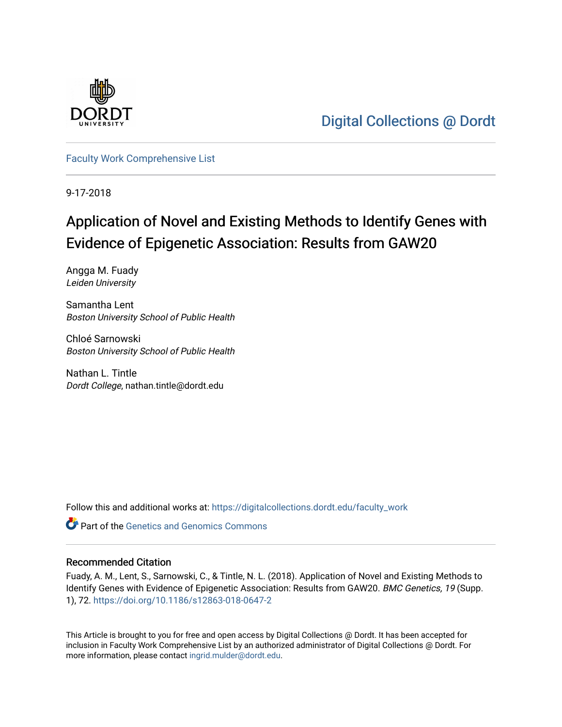

[Digital Collections @ Dordt](https://digitalcollections.dordt.edu/) 

[Faculty Work Comprehensive List](https://digitalcollections.dordt.edu/faculty_work)

9-17-2018

# Application of Novel and Existing Methods to Identify Genes with Evidence of Epigenetic Association: Results from GAW20

Angga M. Fuady Leiden University

Samantha Lent Boston University School of Public Health

Chloé Sarnowski Boston University School of Public Health

Nathan L. Tintle Dordt College, nathan.tintle@dordt.edu

Follow this and additional works at: [https://digitalcollections.dordt.edu/faculty\\_work](https://digitalcollections.dordt.edu/faculty_work?utm_source=digitalcollections.dordt.edu%2Ffaculty_work%2F1024&utm_medium=PDF&utm_campaign=PDFCoverPages) 

**Part of the [Genetics and Genomics Commons](http://network.bepress.com/hgg/discipline/27?utm_source=digitalcollections.dordt.edu%2Ffaculty_work%2F1024&utm_medium=PDF&utm_campaign=PDFCoverPages)** 

## Recommended Citation

Fuady, A. M., Lent, S., Sarnowski, C., & Tintle, N. L. (2018). Application of Novel and Existing Methods to Identify Genes with Evidence of Epigenetic Association: Results from GAW20. BMC Genetics, 19 (Supp. 1), 72. <https://doi.org/10.1186/s12863-018-0647-2>

This Article is brought to you for free and open access by Digital Collections @ Dordt. It has been accepted for inclusion in Faculty Work Comprehensive List by an authorized administrator of Digital Collections @ Dordt. For more information, please contact [ingrid.mulder@dordt.edu.](mailto:ingrid.mulder@dordt.edu)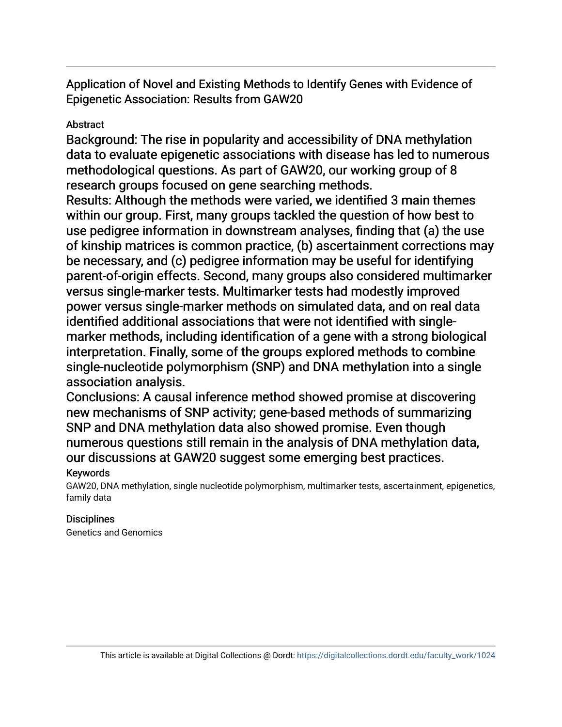Application of Novel and Existing Methods to Identify Genes with Evidence of Epigenetic Association: Results from GAW20

# Abstract

Background: The rise in popularity and accessibility of DNA methylation data to evaluate epigenetic associations with disease has led to numerous methodological questions. As part of GAW20, our working group of 8 research groups focused on gene searching methods.

Results: Although the methods were varied, we identified 3 main themes within our group. First, many groups tackled the question of how best to use pedigree information in downstream analyses, finding that (a) the use of kinship matrices is common practice, (b) ascertainment corrections may be necessary, and (c) pedigree information may be useful for identifying parent-of-origin effects. Second, many groups also considered multimarker versus single-marker tests. Multimarker tests had modestly improved power versus single-marker methods on simulated data, and on real data identified additional associations that were not identified with singlemarker methods, including identification of a gene with a strong biological interpretation. Finally, some of the groups explored methods to combine single-nucleotide polymorphism (SNP) and DNA methylation into a single association analysis.

Conclusions: A causal inference method showed promise at discovering new mechanisms of SNP activity; gene-based methods of summarizing SNP and DNA methylation data also showed promise. Even though numerous questions still remain in the analysis of DNA methylation data, our discussions at GAW20 suggest some emerging best practices.

# Keywords

GAW20, DNA methylation, single nucleotide polymorphism, multimarker tests, ascertainment, epigenetics, family data

# **Disciplines**

Genetics and Genomics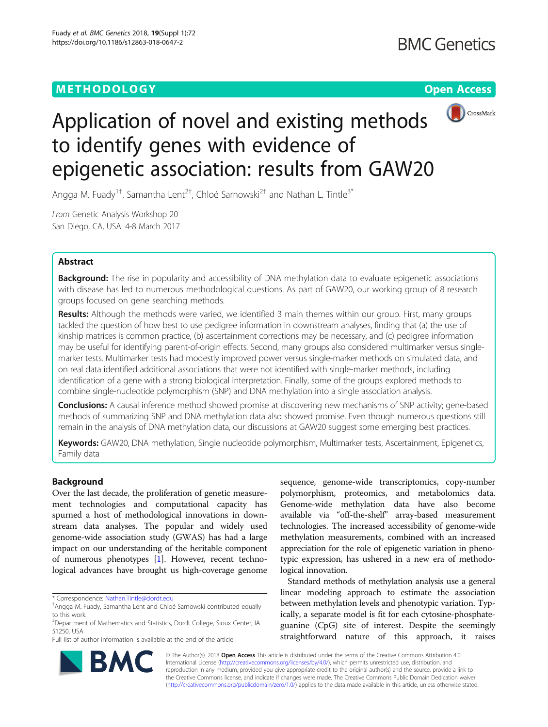## METHODOLOGY CHARGES AND THE SERVICE OPEN ACCESS





# Application of novel and existing methods to identify genes with evidence of epigenetic association: results from GAW20

Angga M. Fuady<sup>1†</sup>, Samantha Lent<sup>2†</sup>, Chloé Sarnowski<sup>2†</sup> and Nathan L. Tintle<sup>3\*</sup>

From Genetic Analysis Workshop 20 San Diego, CA, USA. 4-8 March 2017

## Abstract

**Background:** The rise in popularity and accessibility of DNA methylation data to evaluate epigenetic associations with disease has led to numerous methodological questions. As part of GAW20, our working group of 8 research groups focused on gene searching methods.

Results: Although the methods were varied, we identified 3 main themes within our group. First, many groups tackled the question of how best to use pedigree information in downstream analyses, finding that (a) the use of kinship matrices is common practice, (b) ascertainment corrections may be necessary, and (c) pedigree information may be useful for identifying parent-of-origin effects. Second, many groups also considered multimarker versus singlemarker tests. Multimarker tests had modestly improved power versus single-marker methods on simulated data, and on real data identified additional associations that were not identified with single-marker methods, including identification of a gene with a strong biological interpretation. Finally, some of the groups explored methods to combine single-nucleotide polymorphism (SNP) and DNA methylation into a single association analysis.

**Conclusions:** A causal inference method showed promise at discovering new mechanisms of SNP activity; gene-based methods of summarizing SNP and DNA methylation data also showed promise. Even though numerous questions still remain in the analysis of DNA methylation data, our discussions at GAW20 suggest some emerging best practices.

Keywords: GAW20, DNA methylation, Single nucleotide polymorphism, Multimarker tests, Ascertainment, Epigenetics, Family data

## Background

Over the last decade, the proliferation of genetic measurement technologies and computational capacity has spurned a host of methodological innovations in downstream data analyses. The popular and widely used genome-wide association study (GWAS) has had a large impact on our understanding of the heritable component of numerous phenotypes [\[1](#page-9-0)]. However, recent technological advances have brought us high-coverage genome

\* Correspondence: [Nathan.Tintle@dordt.edu](mailto:Nathan.Tintle@dordt.edu) †

Full list of author information is available at the end of the article

sequence, genome-wide transcriptomics, copy-number polymorphism, proteomics, and metabolomics data. Genome-wide methylation data have also become available via "off-the-shelf" array-based measurement technologies. The increased accessibility of genome-wide methylation measurements, combined with an increased appreciation for the role of epigenetic variation in phenotypic expression, has ushered in a new era of methodological innovation.

Standard methods of methylation analysis use a general linear modeling approach to estimate the association between methylation levels and phenotypic variation. Typically, a separate model is fit for each cytosine-phosphateguanine (CpG) site of interest. Despite the seemingly straightforward nature of this approach, it raises



© The Author(s). 2018 Open Access This article is distributed under the terms of the Creative Commons Attribution 4.0 International License [\(http://creativecommons.org/licenses/by/4.0/](http://creativecommons.org/licenses/by/4.0/)), which permits unrestricted use, distribution, and reproduction in any medium, provided you give appropriate credit to the original author(s) and the source, provide a link to the Creative Commons license, and indicate if changes were made. The Creative Commons Public Domain Dedication waiver [\(http://creativecommons.org/publicdomain/zero/1.0/](http://creativecommons.org/publicdomain/zero/1.0/)) applies to the data made available in this article, unless otherwise stated.

<sup>&</sup>lt;sup>+</sup>Angga M. Fuady, Samantha Lent and Chloé Sarnowski contributed equally to this work.

<sup>&</sup>lt;sup>3</sup>Department of Mathematics and Statistics, Dordt College, Sioux Center, IA 51250, USA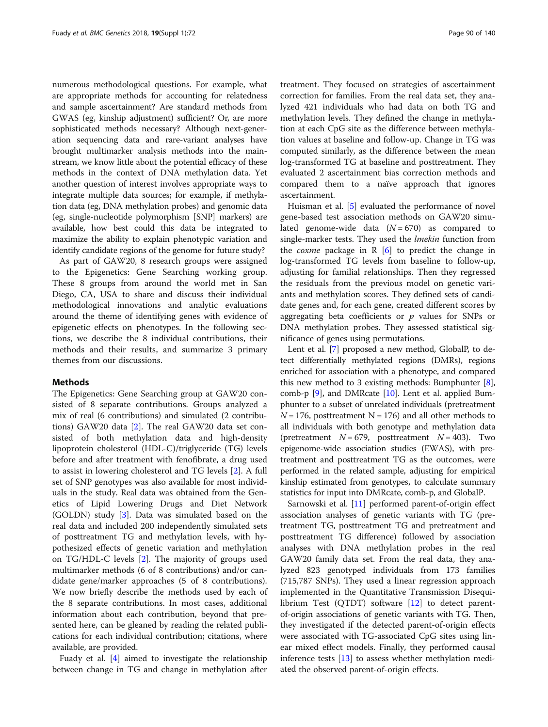numerous methodological questions. For example, what are appropriate methods for accounting for relatedness and sample ascertainment? Are standard methods from GWAS (eg, kinship adjustment) sufficient? Or, are more sophisticated methods necessary? Although next-generation sequencing data and rare-variant analyses have brought multimarker analysis methods into the mainstream, we know little about the potential efficacy of these methods in the context of DNA methylation data. Yet another question of interest involves appropriate ways to integrate multiple data sources; for example, if methylation data (eg, DNA methylation probes) and genomic data (eg, single-nucleotide polymorphism [SNP] markers) are available, how best could this data be integrated to maximize the ability to explain phenotypic variation and identify candidate regions of the genome for future study?

As part of GAW20, 8 research groups were assigned to the Epigenetics: Gene Searching working group. These 8 groups from around the world met in San Diego, CA, USA to share and discuss their individual methodological innovations and analytic evaluations around the theme of identifying genes with evidence of epigenetic effects on phenotypes. In the following sections, we describe the 8 individual contributions, their methods and their results, and summarize 3 primary themes from our discussions.

## Methods

The Epigenetics: Gene Searching group at GAW20 consisted of 8 separate contributions. Groups analyzed a mix of real (6 contributions) and simulated (2 contributions) GAW20 data [\[2](#page-9-0)]. The real GAW20 data set consisted of both methylation data and high-density lipoprotein cholesterol (HDL-C)/triglyceride (TG) levels before and after treatment with fenofibrate, a drug used to assist in lowering cholesterol and TG levels [[2\]](#page-9-0). A full set of SNP genotypes was also available for most individuals in the study. Real data was obtained from the Genetics of Lipid Lowering Drugs and Diet Network (GOLDN) study [\[3](#page-9-0)]. Data was simulated based on the real data and included 200 independently simulated sets of posttreatment TG and methylation levels, with hypothesized effects of genetic variation and methylation on TG/HDL-C levels [[2\]](#page-9-0). The majority of groups used multimarker methods (6 of 8 contributions) and/or candidate gene/marker approaches (5 of 8 contributions). We now briefly describe the methods used by each of the 8 separate contributions. In most cases, additional information about each contribution, beyond that presented here, can be gleaned by reading the related publications for each individual contribution; citations, where available, are provided.

Fuady et al. [[4\]](#page-9-0) aimed to investigate the relationship between change in TG and change in methylation after

treatment. They focused on strategies of ascertainment correction for families. From the real data set, they analyzed 421 individuals who had data on both TG and methylation levels. They defined the change in methylation at each CpG site as the difference between methylation values at baseline and follow-up. Change in TG was computed similarly, as the difference between the mean log-transformed TG at baseline and posttreatment. They evaluated 2 ascertainment bias correction methods and compared them to a naïve approach that ignores ascertainment.

Huisman et al. [\[5](#page-9-0)] evaluated the performance of novel gene-based test association methods on GAW20 simulated genome-wide data  $(N = 670)$  as compared to single-marker tests. They used the *lmekin* function from the *coxme* package in  $R$  [\[6](#page-9-0)] to predict the change in log-transformed TG levels from baseline to follow-up, adjusting for familial relationships. Then they regressed the residuals from the previous model on genetic variants and methylation scores. They defined sets of candidate genes and, for each gene, created different scores by aggregating beta coefficients or  $p$  values for SNPs or DNA methylation probes. They assessed statistical significance of genes using permutations.

Lent et al. [\[7\]](#page-9-0) proposed a new method, GlobalP, to detect differentially methylated regions (DMRs), regions enriched for association with a phenotype, and compared this new method to 3 existing methods: Bumphunter [[8](#page-9-0)], comb-p [[9](#page-9-0)], and DMRcate [\[10](#page-9-0)]. Lent et al. applied Bumphunter to a subset of unrelated individuals (pretreatment  $N = 176$ , posttreatment N = 176) and all other methods to all individuals with both genotype and methylation data (pretreatment  $N = 679$ , posttreatment  $N = 403$ ). Two epigenome-wide association studies (EWAS), with pretreatment and posttreatment TG as the outcomes, were performed in the related sample, adjusting for empirical kinship estimated from genotypes, to calculate summary statistics for input into DMRcate, comb-p, and GlobalP.

Sarnowski et al. [[11\]](#page-9-0) performed parent-of-origin effect association analyses of genetic variants with TG (pretreatment TG, posttreatment TG and pretreatment and posttreatment TG difference) followed by association analyses with DNA methylation probes in the real GAW20 family data set. From the real data, they analyzed 823 genotyped individuals from 173 families (715,787 SNPs). They used a linear regression approach implemented in the Quantitative Transmission Disequilibrium Test (QTDT) software [\[12](#page-9-0)] to detect parentof-origin associations of genetic variants with TG. Then, they investigated if the detected parent-of-origin effects were associated with TG-associated CpG sites using linear mixed effect models. Finally, they performed causal inference tests [[13](#page-9-0)] to assess whether methylation mediated the observed parent-of-origin effects.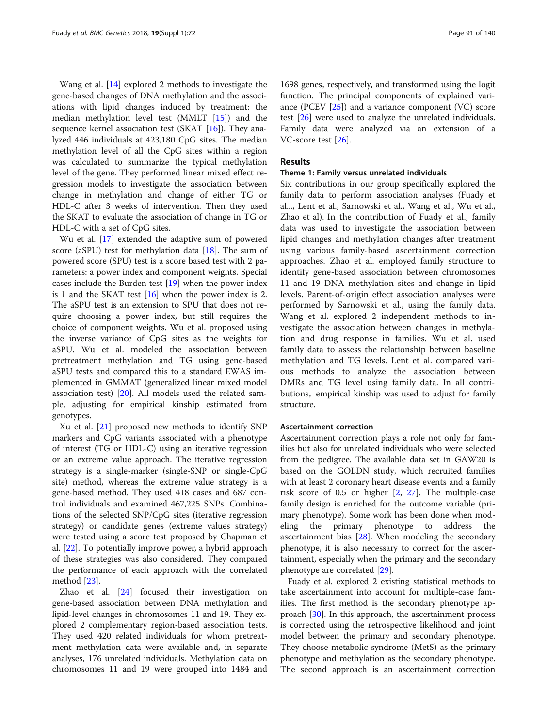Wang et al. [[14](#page-9-0)] explored 2 methods to investigate the gene-based changes of DNA methylation and the associations with lipid changes induced by treatment: the median methylation level test (MMLT [\[15](#page-9-0)]) and the sequence kernel association test (SKAT [[16\]](#page-9-0)). They analyzed 446 individuals at 423,180 CpG sites. The median methylation level of all the CpG sites within a region was calculated to summarize the typical methylation level of the gene. They performed linear mixed effect regression models to investigate the association between change in methylation and change of either TG or HDL-C after 3 weeks of intervention. Then they used the SKAT to evaluate the association of change in TG or HDL-C with a set of CpG sites.

Wu et al. [\[17\]](#page-9-0) extended the adaptive sum of powered score (aSPU) test for methylation data [\[18](#page-9-0)]. The sum of powered score (SPU) test is a score based test with 2 parameters: a power index and component weights. Special cases include the Burden test [[19\]](#page-9-0) when the power index is 1 and the SKAT test  $[16]$  $[16]$  when the power index is 2. The aSPU test is an extension to SPU that does not require choosing a power index, but still requires the choice of component weights. Wu et al. proposed using the inverse variance of CpG sites as the weights for aSPU. Wu et al. modeled the association between pretreatment methylation and TG using gene-based aSPU tests and compared this to a standard EWAS implemented in GMMAT (generalized linear mixed model association test) [\[20](#page-9-0)]. All models used the related sample, adjusting for empirical kinship estimated from genotypes.

Xu et al. [\[21\]](#page-9-0) proposed new methods to identify SNP markers and CpG variants associated with a phenotype of interest (TG or HDL-C) using an iterative regression or an extreme value approach. The iterative regression strategy is a single-marker (single-SNP or single-CpG site) method, whereas the extreme value strategy is a gene-based method. They used 418 cases and 687 control individuals and examined 467,225 SNPs. Combinations of the selected SNP/CpG sites (iterative regression strategy) or candidate genes (extreme values strategy) were tested using a score test proposed by Chapman et al. [[22\]](#page-9-0). To potentially improve power, a hybrid approach of these strategies was also considered. They compared the performance of each approach with the correlated method [\[23](#page-9-0)].

Zhao et al. [\[24\]](#page-9-0) focused their investigation on gene-based association between DNA methylation and lipid-level changes in chromosomes 11 and 19. They explored 2 complementary region-based association tests. They used 420 related individuals for whom pretreatment methylation data were available and, in separate analyses, 176 unrelated individuals. Methylation data on chromosomes 11 and 19 were grouped into 1484 and

1698 genes, respectively, and transformed using the logit function. The principal components of explained variance (PCEV [\[25\]](#page-9-0)) and a variance component (VC) score test [\[26\]](#page-10-0) were used to analyze the unrelated individuals. Family data were analyzed via an extension of a VC-score test [[26](#page-10-0)].

## Results

## Theme 1: Family versus unrelated individuals

Six contributions in our group specifically explored the family data to perform association analyses (Fuady et al..., Lent et al., Sarnowski et al., Wang et al., Wu et al., Zhao et al). In the contribution of Fuady et al., family data was used to investigate the association between lipid changes and methylation changes after treatment using various family-based ascertainment correction approaches. Zhao et al. employed family structure to identify gene-based association between chromosomes 11 and 19 DNA methylation sites and change in lipid levels. Parent-of-origin effect association analyses were performed by Sarnowski et al., using the family data. Wang et al. explored 2 independent methods to investigate the association between changes in methylation and drug response in families. Wu et al. used family data to assess the relationship between baseline methylation and TG levels. Lent et al. compared various methods to analyze the association between DMRs and TG level using family data. In all contributions, empirical kinship was used to adjust for family structure.

## Ascertainment correction

Ascertainment correction plays a role not only for families but also for unrelated individuals who were selected from the pedigree. The available data set in GAW20 is based on the GOLDN study, which recruited families with at least 2 coronary heart disease events and a family risk score of 0.5 or higher [\[2](#page-9-0), [27](#page-10-0)]. The multiple-case family design is enriched for the outcome variable (primary phenotype). Some work has been done when modeling the primary phenotype to address the ascertainment bias [[28](#page-10-0)]. When modeling the secondary phenotype, it is also necessary to correct for the ascertainment, especially when the primary and the secondary phenotype are correlated [[29\]](#page-10-0).

Fuady et al. explored 2 existing statistical methods to take ascertainment into account for multiple-case families. The first method is the secondary phenotype approach [\[30](#page-10-0)]. In this approach, the ascertainment process is corrected using the retrospective likelihood and joint model between the primary and secondary phenotype. They choose metabolic syndrome (MetS) as the primary phenotype and methylation as the secondary phenotype. The second approach is an ascertainment correction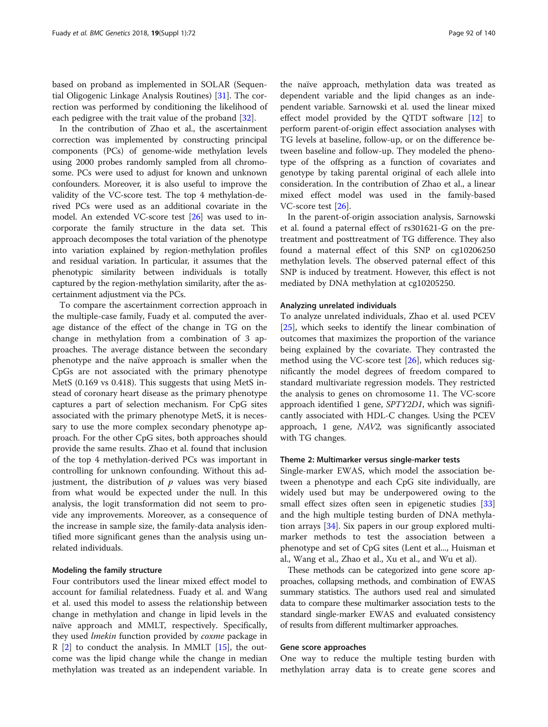based on proband as implemented in SOLAR (Sequential Oligogenic Linkage Analysis Routines) [[31](#page-10-0)]. The correction was performed by conditioning the likelihood of each pedigree with the trait value of the proband [\[32](#page-10-0)].

In the contribution of Zhao et al., the ascertainment correction was implemented by constructing principal components (PCs) of genome-wide methylation levels using 2000 probes randomly sampled from all chromosome. PCs were used to adjust for known and unknown confounders. Moreover, it is also useful to improve the validity of the VC-score test. The top 4 methylation-derived PCs were used as an additional covariate in the model. An extended VC-score test [\[26\]](#page-10-0) was used to incorporate the family structure in the data set. This approach decomposes the total variation of the phenotype into variation explained by region-methylation profiles and residual variation. In particular, it assumes that the phenotypic similarity between individuals is totally captured by the region-methylation similarity, after the ascertainment adjustment via the PCs.

To compare the ascertainment correction approach in the multiple-case family, Fuady et al. computed the average distance of the effect of the change in TG on the change in methylation from a combination of 3 approaches. The average distance between the secondary phenotype and the naïve approach is smaller when the CpGs are not associated with the primary phenotype MetS (0.169 vs 0.418). This suggests that using MetS instead of coronary heart disease as the primary phenotype captures a part of selection mechanism. For CpG sites associated with the primary phenotype MetS, it is necessary to use the more complex secondary phenotype approach. For the other CpG sites, both approaches should provide the same results. Zhao et al. found that inclusion of the top 4 methylation-derived PCs was important in controlling for unknown confounding. Without this adjustment, the distribution of  $p$  values was very biased from what would be expected under the null. In this analysis, the logit transformation did not seem to provide any improvements. Moreover, as a consequence of the increase in sample size, the family-data analysis identified more significant genes than the analysis using unrelated individuals.

## Modeling the family structure

Four contributors used the linear mixed effect model to account for familial relatedness. Fuady et al. and Wang et al. used this model to assess the relationship between change in methylation and change in lipid levels in the naïve approach and MMLT, respectively. Specifically, they used *lmekin* function provided by *coxme* package in  $R$  [\[2](#page-9-0)] to conduct the analysis. In MMLT [\[15\]](#page-9-0), the outcome was the lipid change while the change in median methylation was treated as an independent variable. In the naïve approach, methylation data was treated as dependent variable and the lipid changes as an independent variable. Sarnowski et al. used the linear mixed effect model provided by the QTDT software [\[12\]](#page-9-0) to perform parent-of-origin effect association analyses with TG levels at baseline, follow-up, or on the difference between baseline and follow-up. They modeled the phenotype of the offspring as a function of covariates and genotype by taking parental original of each allele into consideration. In the contribution of Zhao et al., a linear mixed effect model was used in the family-based VC-score test [[26](#page-10-0)].

In the parent-of-origin association analysis, Sarnowski et al. found a paternal effect of rs301621-G on the pretreatment and posttreatment of TG difference. They also found a maternal effect of this SNP on cg10206250 methylation levels. The observed paternal effect of this SNP is induced by treatment. However, this effect is not mediated by DNA methylation at cg10205250.

## Analyzing unrelated individuals

To analyze unrelated individuals, Zhao et al. used PCEV [[25\]](#page-9-0), which seeks to identify the linear combination of outcomes that maximizes the proportion of the variance being explained by the covariate. They contrasted the method using the VC-score test [\[26\]](#page-10-0), which reduces significantly the model degrees of freedom compared to standard multivariate regression models. They restricted the analysis to genes on chromosome 11. The VC-score approach identified 1 gene, SPTY2D1, which was significantly associated with HDL-C changes. Using the PCEV approach, 1 gene, NAV2, was significantly associated with TG changes.

## Theme 2: Multimarker versus single-marker tests

Single-marker EWAS, which model the association between a phenotype and each CpG site individually, are widely used but may be underpowered owing to the small effect sizes often seen in epigenetic studies [[33](#page-10-0)] and the high multiple testing burden of DNA methylation arrays [[34\]](#page-10-0). Six papers in our group explored multimarker methods to test the association between a phenotype and set of CpG sites (Lent et al..., Huisman et al., Wang et al., Zhao et al., Xu et al., and Wu et al).

These methods can be categorized into gene score approaches, collapsing methods, and combination of EWAS summary statistics. The authors used real and simulated data to compare these multimarker association tests to the standard single-marker EWAS and evaluated consistency of results from different multimarker approaches.

## Gene score approaches

One way to reduce the multiple testing burden with methylation array data is to create gene scores and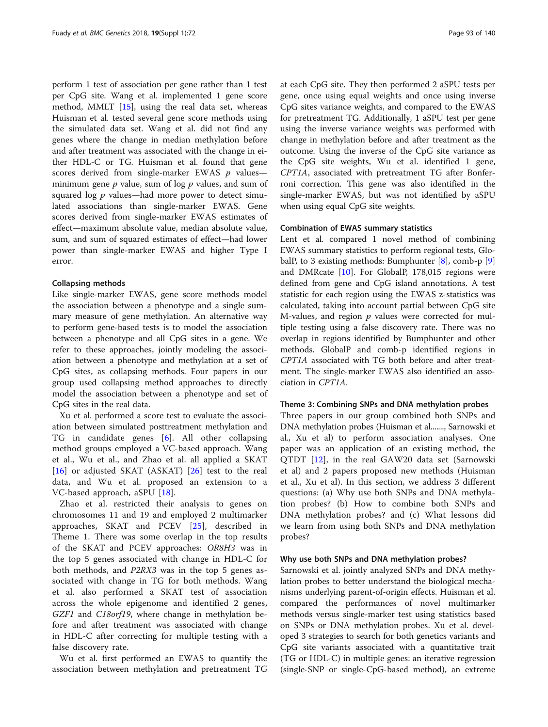perform 1 test of association per gene rather than 1 test per CpG site. Wang et al. implemented 1 gene score method, MMLT [[15](#page-9-0)], using the real data set, whereas Huisman et al. tested several gene score methods using the simulated data set. Wang et al. did not find any genes where the change in median methylation before and after treatment was associated with the change in either HDL-C or TG. Huisman et al. found that gene scores derived from single-marker EWAS  $p$  values minimum gene  $p$  value, sum of log  $p$  values, and sum of squared  $\log p$  values—had more power to detect simulated associations than single-marker EWAS. Gene scores derived from single-marker EWAS estimates of effect—maximum absolute value, median absolute value, sum, and sum of squared estimates of effect—had lower power than single-marker EWAS and higher Type I error.

## Collapsing methods

Like single-marker EWAS, gene score methods model the association between a phenotype and a single summary measure of gene methylation. An alternative way to perform gene-based tests is to model the association between a phenotype and all CpG sites in a gene. We refer to these approaches, jointly modeling the association between a phenotype and methylation at a set of CpG sites, as collapsing methods. Four papers in our group used collapsing method approaches to directly model the association between a phenotype and set of CpG sites in the real data.

Xu et al. performed a score test to evaluate the association between simulated posttreatment methylation and TG in candidate genes [[6\]](#page-9-0). All other collapsing method groups employed a VC-based approach. Wang et al., Wu et al., and Zhao et al. all applied a SKAT [[16\]](#page-9-0) or adjusted SKAT (ASKAT) [[26](#page-10-0)] test to the real data, and Wu et al. proposed an extension to a VC-based approach, aSPU [[18\]](#page-9-0).

Zhao et al. restricted their analysis to genes on chromosomes 11 and 19 and employed 2 multimarker approaches, SKAT and PCEV [\[25](#page-9-0)], described in Theme 1. There was some overlap in the top results of the SKAT and PCEV approaches: OR8H3 was in the top 5 genes associated with change in HDL-C for both methods, and P2RX3 was in the top 5 genes associated with change in TG for both methods. Wang et al. also performed a SKAT test of association across the whole epigenome and identified 2 genes, GZF1 and C18orf19, where change in methylation before and after treatment was associated with change in HDL-C after correcting for multiple testing with a false discovery rate.

Wu et al. first performed an EWAS to quantify the association between methylation and pretreatment TG at each CpG site. They then performed 2 aSPU tests per gene, once using equal weights and once using inverse CpG sites variance weights, and compared to the EWAS for pretreatment TG. Additionally, 1 aSPU test per gene using the inverse variance weights was performed with change in methylation before and after treatment as the outcome. Using the inverse of the CpG site variance as the CpG site weights, Wu et al. identified 1 gene, CPT1A, associated with pretreatment TG after Bonferroni correction. This gene was also identified in the single-marker EWAS, but was not identified by aSPU when using equal CpG site weights.

## Combination of EWAS summary statistics

Lent et al. compared 1 novel method of combining EWAS summary statistics to perform regional tests, GlobalP, to 3 existing methods: Bumphunter [\[8](#page-9-0)], comb-p [\[9](#page-9-0)] and DMRcate [\[10](#page-9-0)]. For GlobalP, 178,015 regions were defined from gene and CpG island annotations. A test statistic for each region using the EWAS z-statistics was calculated, taking into account partial between CpG site M-values, and region  $p$  values were corrected for multiple testing using a false discovery rate. There was no overlap in regions identified by Bumphunter and other methods. GlobalP and comb-p identified regions in CPT1A associated with TG both before and after treatment. The single-marker EWAS also identified an association in CPT1A.

#### Theme 3: Combining SNPs and DNA methylation probes

Three papers in our group combined both SNPs and DNA methylation probes (Huisman et al......., Sarnowski et al., Xu et al) to perform association analyses. One paper was an application of an existing method, the QTDT [\[12](#page-9-0)], in the real GAW20 data set (Sarnowski et al) and 2 papers proposed new methods (Huisman et al., Xu et al). In this section, we address 3 different questions: (a) Why use both SNPs and DNA methylation probes? (b) How to combine both SNPs and DNA methylation probes? and (c) What lessons did we learn from using both SNPs and DNA methylation probes?

#### Why use both SNPs and DNA methylation probes?

Sarnowski et al. jointly analyzed SNPs and DNA methylation probes to better understand the biological mechanisms underlying parent-of-origin effects. Huisman et al. compared the performances of novel multimarker methods versus single-marker test using statistics based on SNPs or DNA methylation probes. Xu et al. developed 3 strategies to search for both genetics variants and CpG site variants associated with a quantitative trait (TG or HDL-C) in multiple genes: an iterative regression (single-SNP or single-CpG-based method), an extreme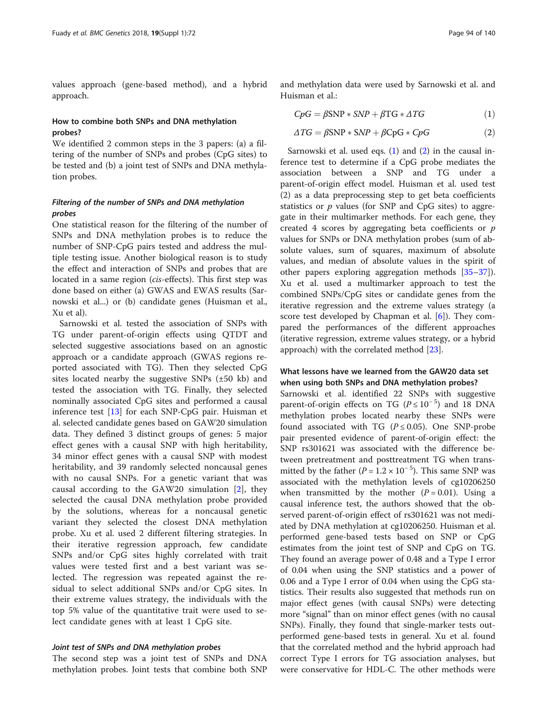values approach (gene-based method), and a hybrid approach.

## How to combine both SNPs and DNA methylation probes?

We identified 2 common steps in the 3 papers: (a) a filtering of the number of SNPs and probes (CpG sites) to be tested and (b) a joint test of SNPs and DNA methylation probes.

## Filtering of the number of SNPs and DNA methylation probes

One statistical reason for the filtering of the number of SNPs and DNA methylation probes is to reduce the number of SNP-CpG pairs tested and address the multiple testing issue. Another biological reason is to study the effect and interaction of SNPs and probes that are located in a same region (cis-effects). This first step was done based on either (a) GWAS and EWAS results (Sarnowski et al...) or (b) candidate genes (Huisman et al., Xu et al).

Sarnowski et al. tested the association of SNPs with TG under parent-of-origin effects using QTDT and selected suggestive associations based on an agnostic approach or a candidate approach (GWAS regions reported associated with TG). Then they selected CpG sites located nearby the suggestive SNPs (±50 kb) and tested the association with TG. Finally, they selected nominally associated CpG sites and performed a causal inference test [[13\]](#page-9-0) for each SNP-CpG pair. Huisman et al. selected candidate genes based on GAW20 simulation data. They defined 3 distinct groups of genes: 5 major effect genes with a causal SNP with high heritability, 34 minor effect genes with a causal SNP with modest heritability, and 39 randomly selected noncausal genes with no causal SNPs. For a genetic variant that was causal according to the GAW20 simulation [\[2](#page-9-0)], they selected the causal DNA methylation probe provided by the solutions, whereas for a noncausal genetic variant they selected the closest DNA methylation probe. Xu et al. used 2 different filtering strategies. In their iterative regression approach, few candidate SNPs and/or CpG sites highly correlated with trait values were tested first and a best variant was selected. The regression was repeated against the residual to select additional SNPs and/or CpG sites. In their extreme values strategy, the individuals with the top 5% value of the quantitative trait were used to select candidate genes with at least 1 CpG site.

## Joint test of SNPs and DNA methylation probes

The second step was a joint test of SNPs and DNA methylation probes. Joint tests that combine both SNP

and methylation data were used by Sarnowski et al. and Huisman et al.:

$$
CpG = \beta \text{SNP} * \text{SNP} + \beta \text{TG} * \Delta T G \tag{1}
$$

$$
\Delta TG = \beta \text{SNP} * \text{SNP} + \beta \text{CpG} * CpG \tag{2}
$$

Sarnowski et al. used eqs. (1) and (2) in the causal inference test to determine if a CpG probe mediates the association between a SNP and TG under a parent-of-origin effect model. Huisman et al. used test (2) as a data preprocessing step to get beta coefficients statistics or  $p$  values (for SNP and CpG sites) to aggregate in their multimarker methods. For each gene, they created 4 scores by aggregating beta coefficients or  $p$ values for SNPs or DNA methylation probes (sum of absolute values, sum of squares, maximum of absolute values, and median of absolute values in the spirit of other papers exploring aggregation methods [[35](#page-10-0)–[37](#page-10-0)]). Xu et al. used a multimarker approach to test the combined SNPs/CpG sites or candidate genes from the iterative regression and the extreme values strategy (a score test developed by Chapman et al. [\[6\]](#page-9-0)). They compared the performances of the different approaches (iterative regression, extreme values strategy, or a hybrid approach) with the correlated method [[23\]](#page-9-0).

## What lessons have we learned from the GAW20 data set when using both SNPs and DNA methylation probes?

Sarnowski et al. identified 22 SNPs with suggestive parent-of-origin effects on TG ( $P \le 10^{-5}$ ) and 18 DNA methylation probes located nearby these SNPs were found associated with TG ( $P \le 0.05$ ). One SNP-probe pair presented evidence of parent-of-origin effect: the SNP rs301621 was associated with the difference between pretreatment and posttreatment TG when transmitted by the father ( $P = 1.2 \times 10^{-5}$ ). This same SNP was associated with the methylation levels of cg10206250 when transmitted by the mother  $(P = 0.01)$ . Using a causal inference test, the authors showed that the observed parent-of-origin effect of rs301621 was not mediated by DNA methylation at cg10206250. Huisman et al. performed gene-based tests based on SNP or CpG estimates from the joint test of SNP and CpG on TG. They found an average power of 0.48 and a Type I error of 0.04 when using the SNP statistics and a power of 0.06 and a Type I error of 0.04 when using the CpG statistics. Their results also suggested that methods run on major effect genes (with causal SNPs) were detecting more "signal" than on minor effect genes (with no causal SNPs). Finally, they found that single-marker tests outperformed gene-based tests in general. Xu et al. found that the correlated method and the hybrid approach had correct Type I errors for TG association analyses, but were conservative for HDL-C. The other methods were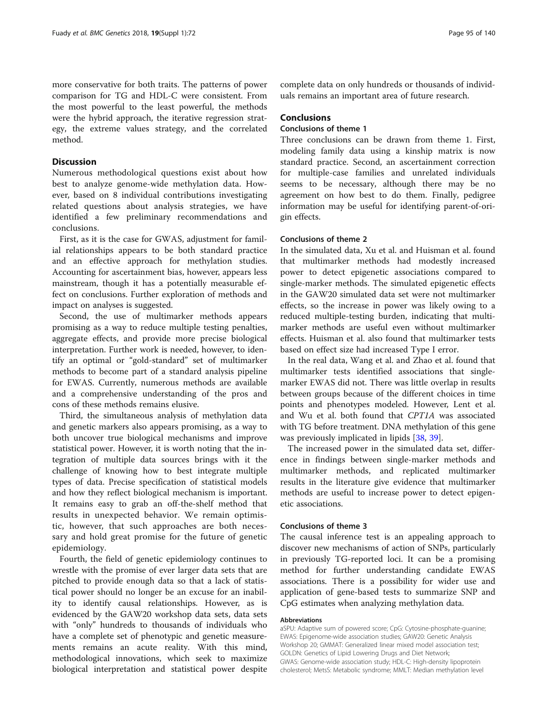more conservative for both traits. The patterns of power comparison for TG and HDL-C were consistent. From the most powerful to the least powerful, the methods were the hybrid approach, the iterative regression strategy, the extreme values strategy, and the correlated method.

## **Discussion**

Numerous methodological questions exist about how best to analyze genome-wide methylation data. However, based on 8 individual contributions investigating related questions about analysis strategies, we have identified a few preliminary recommendations and conclusions.

First, as it is the case for GWAS, adjustment for familial relationships appears to be both standard practice and an effective approach for methylation studies. Accounting for ascertainment bias, however, appears less mainstream, though it has a potentially measurable effect on conclusions. Further exploration of methods and impact on analyses is suggested.

Second, the use of multimarker methods appears promising as a way to reduce multiple testing penalties, aggregate effects, and provide more precise biological interpretation. Further work is needed, however, to identify an optimal or "gold-standard" set of multimarker methods to become part of a standard analysis pipeline for EWAS. Currently, numerous methods are available and a comprehensive understanding of the pros and cons of these methods remains elusive.

Third, the simultaneous analysis of methylation data and genetic markers also appears promising, as a way to both uncover true biological mechanisms and improve statistical power. However, it is worth noting that the integration of multiple data sources brings with it the challenge of knowing how to best integrate multiple types of data. Precise specification of statistical models and how they reflect biological mechanism is important. It remains easy to grab an off-the-shelf method that results in unexpected behavior. We remain optimistic, however, that such approaches are both necessary and hold great promise for the future of genetic epidemiology.

Fourth, the field of genetic epidemiology continues to wrestle with the promise of ever larger data sets that are pitched to provide enough data so that a lack of statistical power should no longer be an excuse for an inability to identify causal relationships. However, as is evidenced by the GAW20 workshop data sets, data sets with "only" hundreds to thousands of individuals who have a complete set of phenotypic and genetic measurements remains an acute reality. With this mind, methodological innovations, which seek to maximize biological interpretation and statistical power despite

complete data on only hundreds or thousands of individuals remains an important area of future research.

## Conclusions

## Conclusions of theme 1

Three conclusions can be drawn from theme 1. First, modeling family data using a kinship matrix is now standard practice. Second, an ascertainment correction for multiple-case families and unrelated individuals seems to be necessary, although there may be no agreement on how best to do them. Finally, pedigree information may be useful for identifying parent-of-origin effects.

## Conclusions of theme 2

In the simulated data, Xu et al. and Huisman et al. found that multimarker methods had modestly increased power to detect epigenetic associations compared to single-marker methods. The simulated epigenetic effects in the GAW20 simulated data set were not multimarker effects, so the increase in power was likely owing to a reduced multiple-testing burden, indicating that multimarker methods are useful even without multimarker effects. Huisman et al. also found that multimarker tests based on effect size had increased Type I error.

In the real data, Wang et al. and Zhao et al. found that multimarker tests identified associations that singlemarker EWAS did not. There was little overlap in results between groups because of the different choices in time points and phenotypes modeled. However, Lent et al. and Wu et al. both found that CPT1A was associated with TG before treatment. DNA methylation of this gene was previously implicated in lipids [[38,](#page-10-0) [39\]](#page-10-0).

The increased power in the simulated data set, difference in findings between single-marker methods and multimarker methods, and replicated multimarker results in the literature give evidence that multimarker methods are useful to increase power to detect epigenetic associations.

## Conclusions of theme 3

The causal inference test is an appealing approach to discover new mechanisms of action of SNPs, particularly in previously TG-reported loci. It can be a promising method for further understanding candidate EWAS associations. There is a possibility for wider use and application of gene-based tests to summarize SNP and CpG estimates when analyzing methylation data.

## Abbreviations

aSPU: Adaptive sum of powered score; CpG: Cytosine-phosphate-guanine; EWAS: Epigenome-wide association studies; GAW20: Genetic Analysis Workshop 20; GMMAT: Generalized linear mixed model association test; GOLDN: Genetics of Lipid Lowering Drugs and Diet Network; GWAS: Genome-wide association study; HDL-C: High-density lipoprotein cholesterol; MetsS: Metabolic syndrome; MMLT: Median methylation level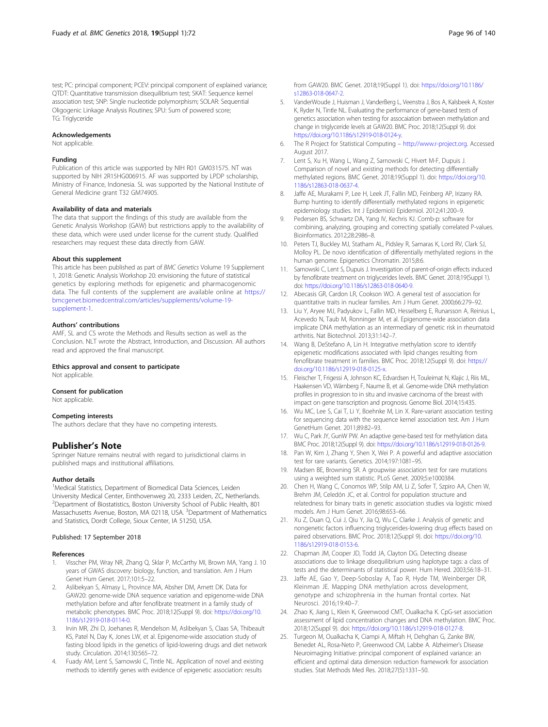<span id="page-9-0"></span>test; PC: principal component; PCEV: principal component of explained variance; QTDT: Quantitative transmission disequilibrium test; SKAT: Sequence kernel association test; SNP: Single nucleotide polymorphism; SOLAR: Sequential Oligogenic Linkage Analysis Routines; SPU: Sum of powered score; TG: Triglyceride

#### Acknowledgements

Not applicable.

#### Funding

Publication of this article was supported by NIH R01 GM031575. NT was supported by NIH 2R15HG006915. AF was supported by LPDP scholarship, Ministry of Finance, Indonesia. SL was supported by the National Institute of General Medicine grant T32 GM74905.

## Availability of data and materials

The data that support the findings of this study are available from the Genetic Analysis Workshop (GAW) but restrictions apply to the availability of these data, which were used under license for the current study. Qualified researchers may request these data directly from GAW.

#### About this supplement

This article has been published as part of BMC Genetics Volume 19 Supplement 1, 2018: Genetic Analysis Workshop 20: envisioning the future of statistical genetics by exploring methods for epigenetic and pharmacogenomic data. The full contents of the supplement are available online at [https://](https://bmcgenet.biomedcentral.com/articles/supplements/volume-19-supplement-1) [bmcgenet.biomedcentral.com/articles/supplements/volume-19](https://bmcgenet.biomedcentral.com/articles/supplements/volume-19-supplement-1) [supplement-1](https://bmcgenet.biomedcentral.com/articles/supplements/volume-19-supplement-1).

## Authors' contributions

AMF, SL and CS wrote the Methods and Results section as well as the Conclusion. NLT wrote the Abstract, Introduction, and Discussion. All authors read and approved the final manuscript.

## Ethics approval and consent to participate

Not applicable.

## Consent for publication

Not applicable.

#### Competing interests

The authors declare that they have no competing interests.

## Publisher's Note

Springer Nature remains neutral with regard to jurisdictional claims in published maps and institutional affiliations.

#### Author details

<sup>1</sup>Medical Statistics, Department of Biomedical Data Sciences, Leiden University Medical Center, Einthovenweg 20, 2333 Leiden, ZC, Netherlands. <sup>2</sup> Department of Biostatistics, Boston University School of Public Health, 801 Massachusetts Avenue, Boston, MA 02118, USA. <sup>3</sup>Department of Mathematics and Statistics, Dordt College, Sioux Center, IA 51250, USA.

#### Published: 17 September 2018

#### References

- 1. Visscher PM, Wray NR, Zhang Q, Sklar P, McCarthy MI, Brown MA, Yang J. 10 years of GWAS discovery: biology, function, and translation. Am J Hum Genet Hum Genet. 2017;101:5–22.
- 2. Aslibekyan S, Almasy L, Province MA, Absher DM, Arnett DK. Data for GAW20: genome-wide DNA sequence variation and epigenome-wide DNA methylation before and after fenofibrate treatment in a family study of metabolic phenotypes. BMC Proc. 2018;12(Suppl 9). doi: [https://doi.org/10.](https://doi.org/10.1186/s12919-018-0114-0) [1186/s12919-018-0114-0.](https://doi.org/10.1186/s12919-018-0114-0)
- Irvin MR, Zhi D, Joehanes R, Mendelson M, Aslibekyan S, Claas SA, Thibeault KS, Patel N, Day K, Jones LW, et al. Epigenome-wide association study of fasting blood lipids in the genetics of lipid-lowering drugs and diet network study. Circulation. 2014;130:565–72.
- 4. Fuady AM, Lent S, Sarnowski C, Tintle NL. Application of novel and existing methods to identify genes with evidence of epigenetic association: results

from GAW20. BMC Genet. 2018;19(Suppl 1). doi: [https://doi.org/10.1186/](https://doi.org/10.1186/s12863-018-0647-2) [s12863-018-0647-2.](https://doi.org/10.1186/s12863-018-0647-2)

- 5. VanderWoude J, Huisman J, VanderBerg L, Veenstra J, Bos A, Kalsbeek A, Koster K, Ryder N, Tintle NL. Evaluating the performance of gene-based tests of genetics association when testing for assocaiation between methylation and change in triglyceride levels at GAW20. BMC Proc. 2018;12(Suppl 9). doi: <https://doi.org/10.1186/s12919-018-0124-y>.
- 6. The R Project for Statistical Computing [http://www.r-project.org.](http://www.r-project.org) Accessed August 2017.
- 7. Lent S, Xu H, Wang L, Wang Z, Sarnowski C, Hivert M-F, Dupuis J. Comparison of novel and existing methods for detecting differentially methylated regions. BMC Genet. 2018;19(Suppl 1). doi: [https://doi.org/10.](https://doi.org/10.1186/s12863-018-0637-4) [1186/s12863-018-0637-4](https://doi.org/10.1186/s12863-018-0637-4).
- 8. Jaffe AE, Murakami P, Lee H, Leek JT, Fallin MD, Feinberg AP, Irizarry RA. Bump hunting to identify differentially methylated regions in epigenetic epidemiology studies. Int J EpidemiolJ Epidemiol. 2012;41:200-9.
- 9. Pedersen BS, Schwartz DA, Yang IV, Kechris KJ. Comb-p: software for combining, analyzing, grouping and correcting spatially correlated P-values. Bioinformatics. 2012;28:2986–8.
- 10. Peters TJ, Buckley MJ, Statham AL, Pidsley R, Samaras K, Lord RV, Clark SJ, Molloy PL. De novo identification of differentially methylated regions in the human genome. Epigenetics Chromatin. 2015;8:6.
- 11. Sarnowski C, Lent S, Dupuis J. Investigation of parent-of-origin effects induced by fenofibrate treatment on triglycerides levels. BMC Genet. 2018;19(Suppl 1). doi: <https://doi.org/10.1186/s12863-018-0640-9>.
- 12. Abecasis GR, Cardon LR, Cookson WO. A general test of association for quantitative traits in nuclear families. Am J Hum Genet. 2000;66:279–92.
- 13. Liu Y, Aryee MJ, Padyukov L, Fallin MD, Hesselberg E, Runarsson A, Reinius L, Acevedo N, Taub M, Ronninger M, et al. Epigenome-wide association data implicate DNA methylation as an intermediary of genetic risk in rheumatoid arthritis. Nat Biotechnol. 2013;31:142–7.
- 14. Wang B, DeStefano A, Lin H. Integrative methylation score to identify epigenetic modifications associated with lipid changes resulting from fenofibrate treatment in families. BMC Proc. 2018;12(Suppl 9). doi: [https://](https://doi.org/10.1186/s12919-018-0125-x) [doi.org/10.1186/s12919-018-0125-x](https://doi.org/10.1186/s12919-018-0125-x).
- 15. Fleischer T, Frigessi A, Johnson KC, Edvardsen H, Touleimat N, Klajic J, Riis ML, Haakensen VD, Wärnberg F, Naume B, et al. Genome-wide DNA methylation profiles in progression to in situ and invasive carcinoma of the breast with impact on gene transcription and prognosis. Genome Biol. 2014;15:435.
- 16. Wu MC, Lee S, Cai T, Li Y, Boehnke M, Lin X. Rare-variant association testing for sequencing data with the sequence kernel association test. Am J Hum GenetHum Genet. 2011;89:82–93.
- 17. Wu C, Park JY, GunW PW. An adaptive gene-based test for methylation data. BMC Proc. 2018;12(Suppl 9). doi: [https://doi.org/10.1186/s12919-018-0126-9.](https://doi.org/10.1186/s12919-018-0126-9)
- 18. Pan W, Kim J, Zhang Y, Shen X, Wei P. A powerful and adaptive association test for rare variants. Genetics. 2014;197:1081–95.
- 19. Madsen BE, Browning SR. A groupwise association test for rare mutations using a weighted sum statistic. PLoS Genet. 2009;5:e1000384.
- 20. Chen H, Wang C, Conomos WP, Stilp AM, Li Z, Sofer T, Szpiro AA, Chen W, Brehm JM, Celedón JC, et al. Control for population structure and relatedness for binary traits in genetic association studies via logistic mixed models. Am J Hum Genet. 2016;98:653–66.
- 21. Xu Z, Duan Q, Cui J, Qiu Y, Jia Q, Wu C, Clarke J. Analysis of genetic and nongenetic factors influencing triglycerides-lowering drug effects based on paired observations. BMC Proc. 2018;12(Suppl 9). doi: [https://doi.org/10.](https://doi.org/10.1186/s12919-018-0153-6) [1186/s12919-018-0153-6](https://doi.org/10.1186/s12919-018-0153-6).
- 22. Chapman JM, Cooper JD, Todd JA, Clayton DG. Detecting disease associations due to linkage disequilibrium using haplotype tags: a class of tests and the determinants of statistical power. Hum Hered. 2003;56:18–31.
- 23. Jaffe AE, Gao Y, Deep-Soboslay A, Tao R, Hyde TM, Weinberger DR, Kleinman JE. Mapping DNA methylation across development, genotype and schizophrenia in the human frontal cortex. Nat Neurosci. 2016;19:40–7.
- 24. Zhao K, Jiang L, Klein K, Greenwood CMT, Oualkacha K. CpG-set association assessment of lipid concentration changes and DNA methylation. BMC Proc. 2018;12(Suppl 9). doi: [https://doi.org/10.1186/s12919-018-0127-8.](https://doi.org/10.1186/s12919-018-0127-8)
- 25. Turgeon M, Oualkacha K, Ciampi A, Miftah H, Dehghan G, Zanke BW, Benedet AL, Rosa-Neto P, Greenwood CM, Labbe A. Alzheimer's Disease Neuroimaging Initiative: principal component of explained variance: an efficient and optimal data dimension reduction framework for association studies. Stat Methods Med Res. 2018;27(5):1331–50.